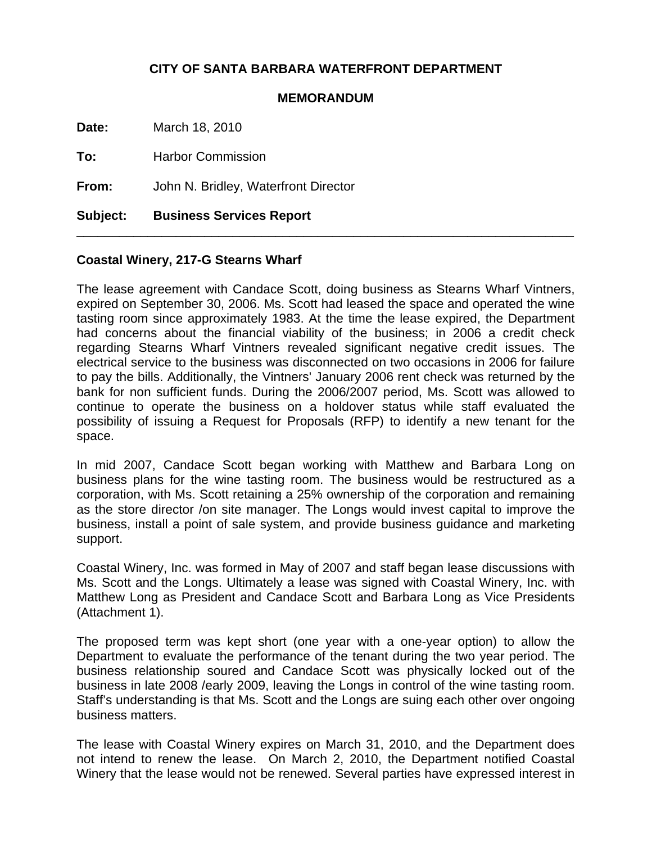## **CITY OF SANTA BARBARA WATERFRONT DEPARTMENT**

## **MEMORANDUM**

**Date:** March 18, 2010

**To:** Harbor Commission

**From:** John N. Bridley, Waterfront Director

**Subject: Business Services Report**

## **Coastal Winery, 217-G Stearns Wharf**

The lease agreement with Candace Scott, doing business as Stearns Wharf Vintners, expired on September 30, 2006. Ms. Scott had leased the space and operated the wine tasting room since approximately 1983. At the time the lease expired, the Department had concerns about the financial viability of the business; in 2006 a credit check regarding Stearns Wharf Vintners revealed significant negative credit issues. The electrical service to the business was disconnected on two occasions in 2006 for failure to pay the bills. Additionally, the Vintners' January 2006 rent check was returned by the bank for non sufficient funds. During the 2006/2007 period, Ms. Scott was allowed to continue to operate the business on a holdover status while staff evaluated the possibility of issuing a Request for Proposals (RFP) to identify a new tenant for the space.

\_\_\_\_\_\_\_\_\_\_\_\_\_\_\_\_\_\_\_\_\_\_\_\_\_\_\_\_\_\_\_\_\_\_\_\_\_\_\_\_\_\_\_\_\_\_\_\_\_\_\_\_\_\_\_\_\_\_\_\_\_\_\_\_\_\_\_\_\_\_

In mid 2007, Candace Scott began working with Matthew and Barbara Long on business plans for the wine tasting room. The business would be restructured as a corporation, with Ms. Scott retaining a 25% ownership of the corporation and remaining as the store director /on site manager. The Longs would invest capital to improve the business, install a point of sale system, and provide business guidance and marketing support.

Coastal Winery, Inc. was formed in May of 2007 and staff began lease discussions with Ms. Scott and the Longs. Ultimately a lease was signed with Coastal Winery, Inc. with Matthew Long as President and Candace Scott and Barbara Long as Vice Presidents (Attachment 1).

The proposed term was kept short (one year with a one-year option) to allow the Department to evaluate the performance of the tenant during the two year period. The business relationship soured and Candace Scott was physically locked out of the business in late 2008 /early 2009, leaving the Longs in control of the wine tasting room. Staff's understanding is that Ms. Scott and the Longs are suing each other over ongoing business matters.

The lease with Coastal Winery expires on March 31, 2010, and the Department does not intend to renew the lease. On March 2, 2010, the Department notified Coastal Winery that the lease would not be renewed. Several parties have expressed interest in